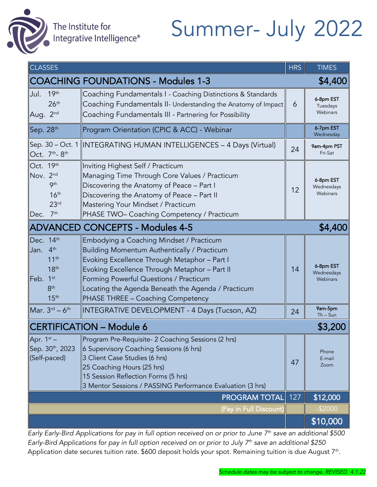

The Institute for<br>Integrative Intelligence®

# Summer- July 2022

| <b>CLASSES</b>                                                                                                                  |                                                                                                                                                                                                                                                                                                                               |     | <b>TIMES</b>                        |  |
|---------------------------------------------------------------------------------------------------------------------------------|-------------------------------------------------------------------------------------------------------------------------------------------------------------------------------------------------------------------------------------------------------------------------------------------------------------------------------|-----|-------------------------------------|--|
| <b>COACHING FOUNDATIONS - Modules 1-3</b><br>\$4,400                                                                            |                                                                                                                                                                                                                                                                                                                               |     |                                     |  |
| 19 <sup>th</sup><br>Jul.<br>26 <sup>th</sup><br>Aug. 2 <sup>nd</sup>                                                            | Coaching Fundamentals I - Coaching Distinctions & Standards<br>Coaching Fundamentals II- Understanding the Anatomy of Impact<br>Coaching Fundamentals III - Partnering for Possibility                                                                                                                                        | 6   | 6-8pm EST<br>Tuesdays<br>Webinars   |  |
| Sep. 28th                                                                                                                       | Program Orientation (CPIC & ACC) - Webinar                                                                                                                                                                                                                                                                                    |     | 6-7pm EST<br>Wednesday              |  |
| Oct. 7 <sup>th</sup> -8 <sup>th</sup>                                                                                           | Sep. 30 - Oct. 1   INTEGRATING HUMAN INTELLIGENCES - 4 Days (Virtual)                                                                                                                                                                                                                                                         | 24  | 9am-4pm PST<br>Fri-Sat              |  |
| Oct. 19th<br>Nov. 2nd<br><b>9th</b><br>16 <sup>th</sup><br>23 <sup>rd</sup><br>Dec. 7th                                         | Inviting Highest Self / Practicum<br>Managing Time Through Core Values / Practicum<br>Discovering the Anatomy of Peace - Part I<br>Discovering the Anatomy of Peace - Part II<br>Mastering Your Mindset / Practicum<br>PHASE TWO- Coaching Competency / Practicum                                                             | 12  | 6-8pm EST<br>Wednesdays<br>Webinars |  |
| <b>ADVANCED CONCEPTS - Modules 4-5</b><br>\$4,400                                                                               |                                                                                                                                                                                                                                                                                                                               |     |                                     |  |
| Dec. 14th<br>4 <sup>th</sup><br>Jan.<br>11 <sup>th</sup><br>18 <sup>th</sup><br>Feb. 1st<br>8 <sup>th</sup><br>15 <sup>th</sup> | Embodying a Coaching Mindset / Practicum<br>Building Momentum Authentically / Practicum<br>Evoking Excellence Through Metaphor - Part I<br>Evoking Excellence Through Metaphor - Part II<br>Forming Powerful Questions / Practicum<br>Locating the Agenda Beneath the Agenda / Practicum<br>PHASE THREE - Coaching Competency | 14  | 6-8pm EST<br>Wednesdays<br>Webinars |  |
| Mar. $3^{\text{rd}} - 6^{\text{th}}$                                                                                            | INTEGRATIVE DEVELOPMENT - 4 Days (Tucson, AZ)                                                                                                                                                                                                                                                                                 | 24  | 9am-5pm<br>$Th-Sun$                 |  |
| <b>CERTIFICATION - Module 6</b><br>\$3,200                                                                                      |                                                                                                                                                                                                                                                                                                                               |     |                                     |  |
| Apr. $1^{st}$ –<br>Sep. 30 <sup>th</sup> , 2023<br>(Self-paced)                                                                 | Program Pre-Requisite- 2 Coaching Sessions (2 hrs)<br>6 Supervisory Coaching Sessions (6 hrs)<br>3 Client Case Studies (6 hrs)<br>25 Coaching Hours (25 hrs)<br>15 Session Reflection Forms (5 hrs)<br>3 Mentor Sessions / PASSING Performance Evaluation (3 hrs)                                                             | 47  | Phone<br>E-mail<br>Zoom             |  |
|                                                                                                                                 | <b>PROGRAM TOTAL</b>                                                                                                                                                                                                                                                                                                          | 127 | \$12,000                            |  |
|                                                                                                                                 | (Pay in Full Discount)                                                                                                                                                                                                                                                                                                        |     | $-$2000$                            |  |
|                                                                                                                                 |                                                                                                                                                                                                                                                                                                                               |     | \$10,000                            |  |

*Early Early-Bird Applications for pay in full option received on or prior to June 7th save an additional \$500 Early-Bird Applications for pay in full option received on or prior to July 7 th save an additional \$250* Application date secures tuition rate. \$600 deposit holds your spot. Remaining tuition is due August 7th.